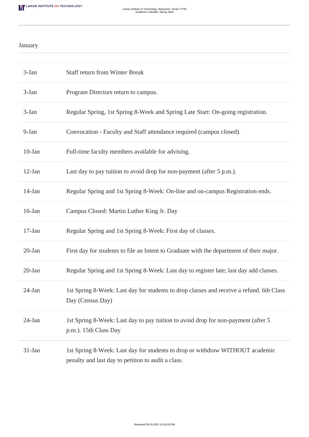## January

| $3-Jan$   | <b>Staff return from Winter Break</b>                                                                                               |
|-----------|-------------------------------------------------------------------------------------------------------------------------------------|
| $3-Jan$   | Program Directors return to campus.                                                                                                 |
| 3-Jan     | Regular Spring, 1st Spring 8-Week and Spring Late Start: On-going registration.                                                     |
| 9-Jan     | Convocation - Faculty and Staff attendance required (campus closed).                                                                |
| $10$ -Jan | Full-time faculty members available for advising.                                                                                   |
| $12$ -Jan | Last day to pay tuition to avoid drop for non-payment (after 5 p.m.).                                                               |
| 14-Jan    | Regular Spring and 1st Spring 8-Week: On-line and on-campus Registration ends.                                                      |
| $16$ -Jan | Campus Closed: Martin Luther King Jr. Day                                                                                           |
| $17-Jan$  | Regular Spring and 1st Spring 8-Week: First day of classes.                                                                         |
| $20$ -Jan | First day for students to file an Intent to Graduate with the department of their major.                                            |
| 20-Jan    | Regular Spring and 1st Spring 8-Week: Last day to register late; last day add classes.                                              |
| $24$ -Jan | 1st Spring 8-Week: Last day for students to drop classes and receive a refund. 6th Class<br>Day (Census Day)                        |
| $24$ -Jan | 1st Spring 8-Week: Last day to pay tuition to avoid drop for non-payment (after 5<br>p.m.). 15th Class Day                          |
| 31-Jan    | 1st Spring 8-Week: Last day for students to drop or withdraw WITHOUT academic<br>penalty and last day to petition to audit a class. |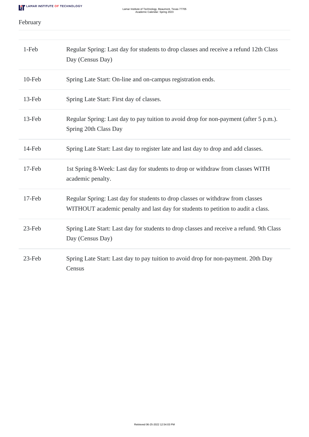## February

| 1-Feb     | Regular Spring: Last day for students to drop classes and receive a refund 12th Class<br>Day (Census Day)                                                          |
|-----------|--------------------------------------------------------------------------------------------------------------------------------------------------------------------|
| $10$ -Feb | Spring Late Start: On-line and on-campus registration ends.                                                                                                        |
| 13-Feb    | Spring Late Start: First day of classes.                                                                                                                           |
| 13-Feb    | Regular Spring: Last day to pay tuition to avoid drop for non-payment (after 5 p.m.).<br>Spring 20th Class Day                                                     |
| 14-Feb    | Spring Late Start: Last day to register late and last day to drop and add classes.                                                                                 |
| 17-Feb    | 1st Spring 8-Week: Last day for students to drop or withdraw from classes WITH<br>academic penalty.                                                                |
| 17-Feb    | Regular Spring: Last day for students to drop classes or withdraw from classes<br>WITHOUT academic penalty and last day for students to petition to audit a class. |
| 23-Feb    | Spring Late Start: Last day for students to drop classes and receive a refund. 9th Class<br>Day (Census Day)                                                       |
| 23-Feb    | Spring Late Start: Last day to pay tuition to avoid drop for non-payment. 20th Day<br>Census                                                                       |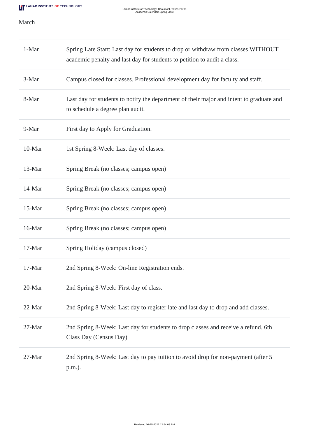## March

| 1-Mar  | Spring Late Start: Last day for students to drop or withdraw from classes WITHOUT<br>academic penalty and last day for students to petition to audit a class. |
|--------|---------------------------------------------------------------------------------------------------------------------------------------------------------------|
| 3-Mar  | Campus closed for classes. Professional development day for faculty and staff.                                                                                |
| 8-Mar  | Last day for students to notify the department of their major and intent to graduate and<br>to schedule a degree plan audit.                                  |
| 9-Mar  | First day to Apply for Graduation.                                                                                                                            |
| 10-Mar | 1st Spring 8-Week: Last day of classes.                                                                                                                       |
| 13-Mar | Spring Break (no classes; campus open)                                                                                                                        |
| 14-Mar | Spring Break (no classes; campus open)                                                                                                                        |
| 15-Mar | Spring Break (no classes; campus open)                                                                                                                        |
| 16-Mar | Spring Break (no classes; campus open)                                                                                                                        |
| 17-Mar | Spring Holiday (campus closed)                                                                                                                                |
| 17-Mar | 2nd Spring 8-Week: On-line Registration ends.                                                                                                                 |
| 20-Mar | 2nd Spring 8-Week: First day of class.                                                                                                                        |
| 22-Mar | 2nd Spring 8-Week: Last day to register late and last day to drop and add classes.                                                                            |
| 27-Mar | 2nd Spring 8-Week: Last day for students to drop classes and receive a refund. 6th<br>Class Day (Census Day)                                                  |
| 27-Mar | 2nd Spring 8-Week: Last day to pay tuition to avoid drop for non-payment (after 5<br>p.m.).                                                                   |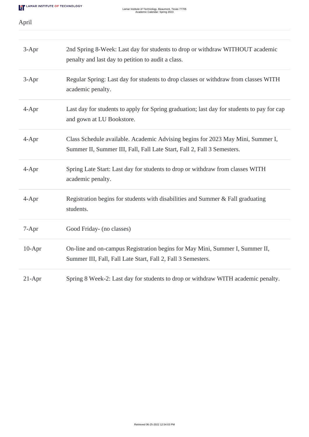April

| $3-Apr$  | 2nd Spring 8-Week: Last day for students to drop or withdraw WITHOUT academic<br>penalty and last day to petition to audit a class.                        |
|----------|------------------------------------------------------------------------------------------------------------------------------------------------------------|
| $3-Apr$  | Regular Spring: Last day for students to drop classes or withdraw from classes WITH<br>academic penalty.                                                   |
| $4-Apr$  | Last day for students to apply for Spring graduation; last day for students to pay for cap<br>and gown at LU Bookstore.                                    |
| $4-Apr$  | Class Schedule available. Academic Advising begins for 2023 May Mini, Summer I,<br>Summer II, Summer III, Fall, Fall Late Start, Fall 2, Fall 3 Semesters. |
| $4-Apr$  | Spring Late Start: Last day for students to drop or withdraw from classes WITH<br>academic penalty.                                                        |
| $4-Apr$  | Registration begins for students with disabilities and Summer & Fall graduating<br>students.                                                               |
| 7-Apr    | Good Friday- (no classes)                                                                                                                                  |
| $10-Apr$ | On-line and on-campus Registration begins for May Mini, Summer I, Summer II,<br>Summer III, Fall, Fall Late Start, Fall 2, Fall 3 Semesters.               |
| $21-Apr$ | Spring 8 Week-2: Last day for students to drop or withdraw WITH academic penalty.                                                                          |